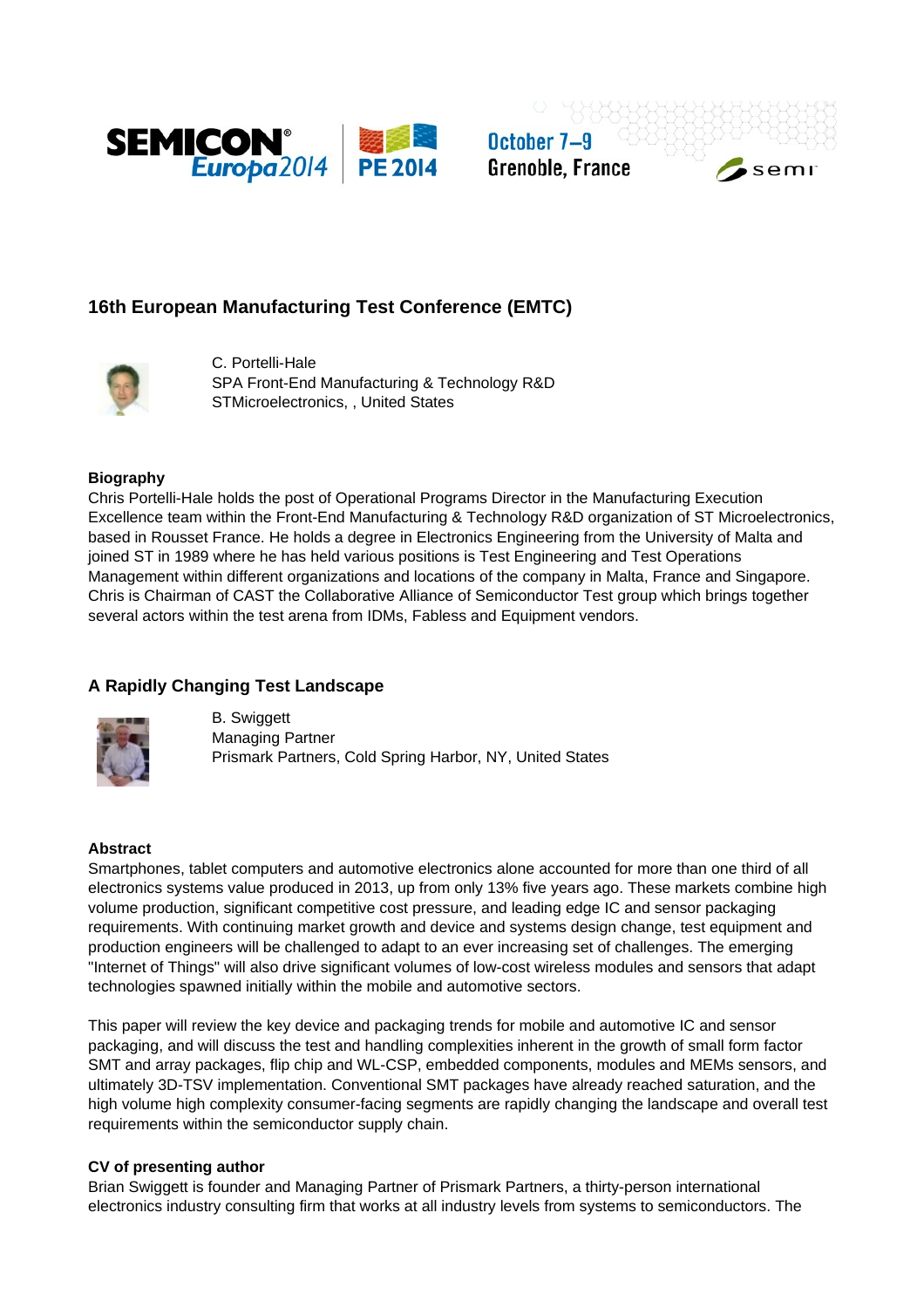

October 7-9 **Grenoble, France** 



# **16th European Manufacturing Test Conference (EMTC)**



C. Portelli-Hale SPA Front-End Manufacturing & Technology R&D STMicroelectronics, , United States

## **Biography**

Chris Portelli-Hale holds the post of Operational Programs Director in the Manufacturing Execution Excellence team within the Front-End Manufacturing & Technology R&D organization of ST Microelectronics, based in Rousset France. He holds a degree in Electronics Engineering from the University of Malta and joined ST in 1989 where he has held various positions is Test Engineering and Test Operations Management within different organizations and locations of the company in Malta, France and Singapore. Chris is Chairman of CAST the Collaborative Alliance of Semiconductor Test group which brings together several actors within the test arena from IDMs, Fabless and Equipment vendors.

## **A Rapidly Changing Test Landscape**



B. Swiggett Managing Partner Prismark Partners, Cold Spring Harbor, NY, United States

## **Abstract**

Smartphones, tablet computers and automotive electronics alone accounted for more than one third of all electronics systems value produced in 2013, up from only 13% five years ago. These markets combine high volume production, significant competitive cost pressure, and leading edge IC and sensor packaging requirements. With continuing market growth and device and systems design change, test equipment and production engineers will be challenged to adapt to an ever increasing set of challenges. The emerging "Internet of Things" will also drive significant volumes of low-cost wireless modules and sensors that adapt technologies spawned initially within the mobile and automotive sectors.

This paper will review the key device and packaging trends for mobile and automotive IC and sensor packaging, and will discuss the test and handling complexities inherent in the growth of small form factor SMT and array packages, flip chip and WL-CSP, embedded components, modules and MEMs sensors, and ultimately 3D-TSV implementation. Conventional SMT packages have already reached saturation, and the high volume high complexity consumer-facing segments are rapidly changing the landscape and overall test requirements within the semiconductor supply chain.

## **CV of presenting author**

Brian Swiggett is founder and Managing Partner of Prismark Partners, a thirty-person international electronics industry consulting firm that works at all industry levels from systems to semiconductors. The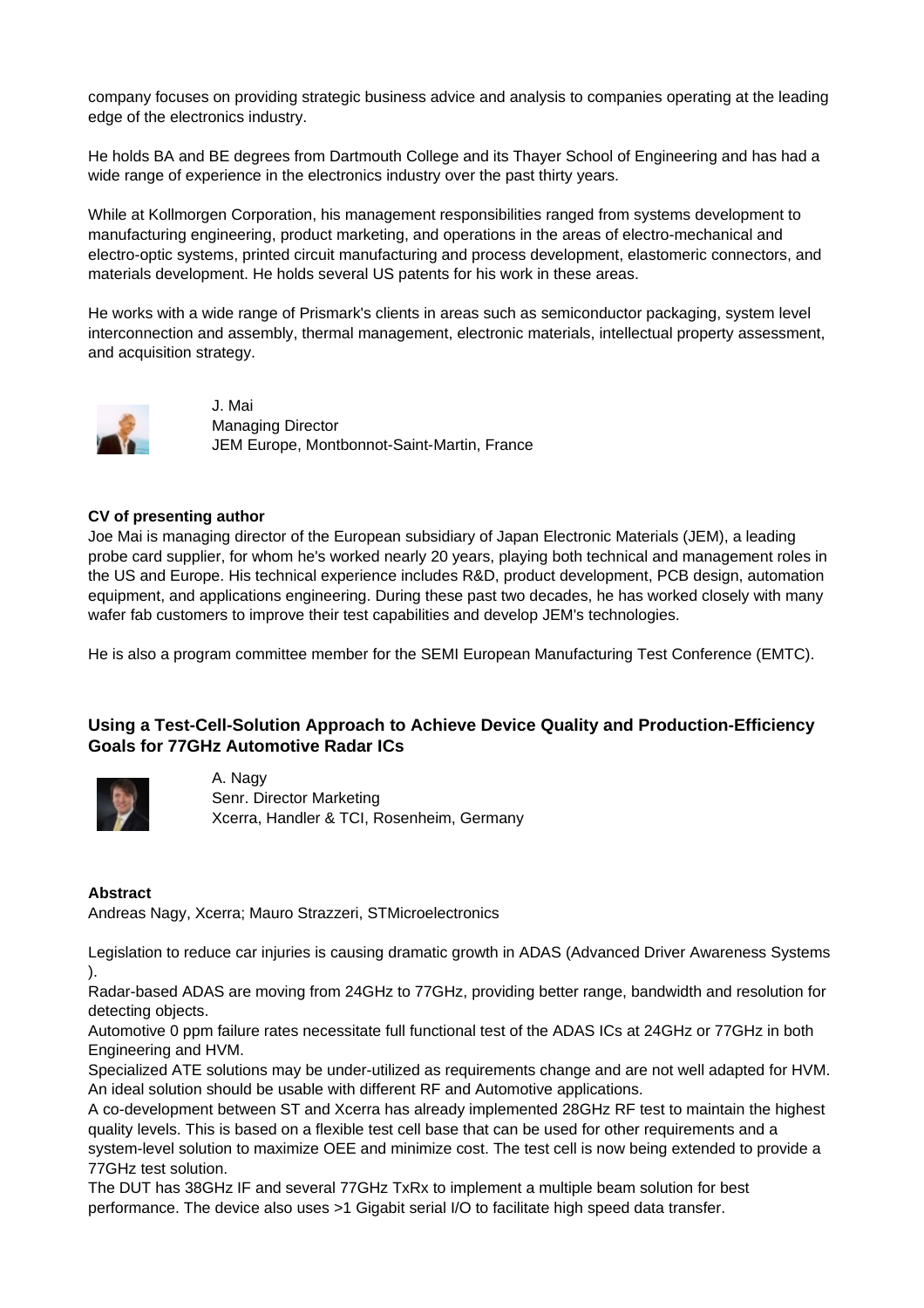company focuses on providing strategic business advice and analysis to companies operating at the leading edge of the electronics industry.

He holds BA and BE degrees from Dartmouth College and its Thayer School of Engineering and has had a wide range of experience in the electronics industry over the past thirty years.

While at Kollmorgen Corporation, his management responsibilities ranged from systems development to manufacturing engineering, product marketing, and operations in the areas of electro-mechanical and electro-optic systems, printed circuit manufacturing and process development, elastomeric connectors, and materials development. He holds several US patents for his work in these areas.

He works with a wide range of Prismark's clients in areas such as semiconductor packaging, system level interconnection and assembly, thermal management, electronic materials, intellectual property assessment, and acquisition strategy.



J. Mai Managing Director JEM Europe, Montbonnot-Saint-Martin, France

## **CV of presenting author**

Joe Mai is managing director of the European subsidiary of Japan Electronic Materials (JEM), a leading probe card supplier, for whom he's worked nearly 20 years, playing both technical and management roles in the US and Europe. His technical experience includes R&D, product development, PCB design, automation equipment, and applications engineering. During these past two decades, he has worked closely with many wafer fab customers to improve their test capabilities and develop JEM's technologies.

He is also a program committee member for the SEMI European Manufacturing Test Conference (EMTC).

## **Using a Test-Cell-Solution Approach to Achieve Device Quality and Production-Efficiency Goals for 77GHz Automotive Radar ICs**



A. Nagy Senr. Director Marketing Xcerra, Handler & TCI, Rosenheim, Germany

## **Abstract**

Andreas Nagy, Xcerra; Mauro Strazzeri, STMicroelectronics

Legislation to reduce car injuries is causing dramatic growth in ADAS (Advanced Driver Awareness Systems ).

Radar-based ADAS are moving from 24GHz to 77GHz, providing better range, bandwidth and resolution for detecting objects.

Automotive 0 ppm failure rates necessitate full functional test of the ADAS ICs at 24GHz or 77GHz in both Engineering and HVM.

Specialized ATE solutions may be under-utilized as requirements change and are not well adapted for HVM. An ideal solution should be usable with different RF and Automotive applications.

A co-development between ST and Xcerra has already implemented 28GHz RF test to maintain the highest quality levels. This is based on a flexible test cell base that can be used for other requirements and a system-level solution to maximize OEE and minimize cost. The test cell is now being extended to provide a 77GHz test solution.

The DUT has 38GHz IF and several 77GHz TxRx to implement a multiple beam solution for best performance. The device also uses >1 Gigabit serial I/O to facilitate high speed data transfer.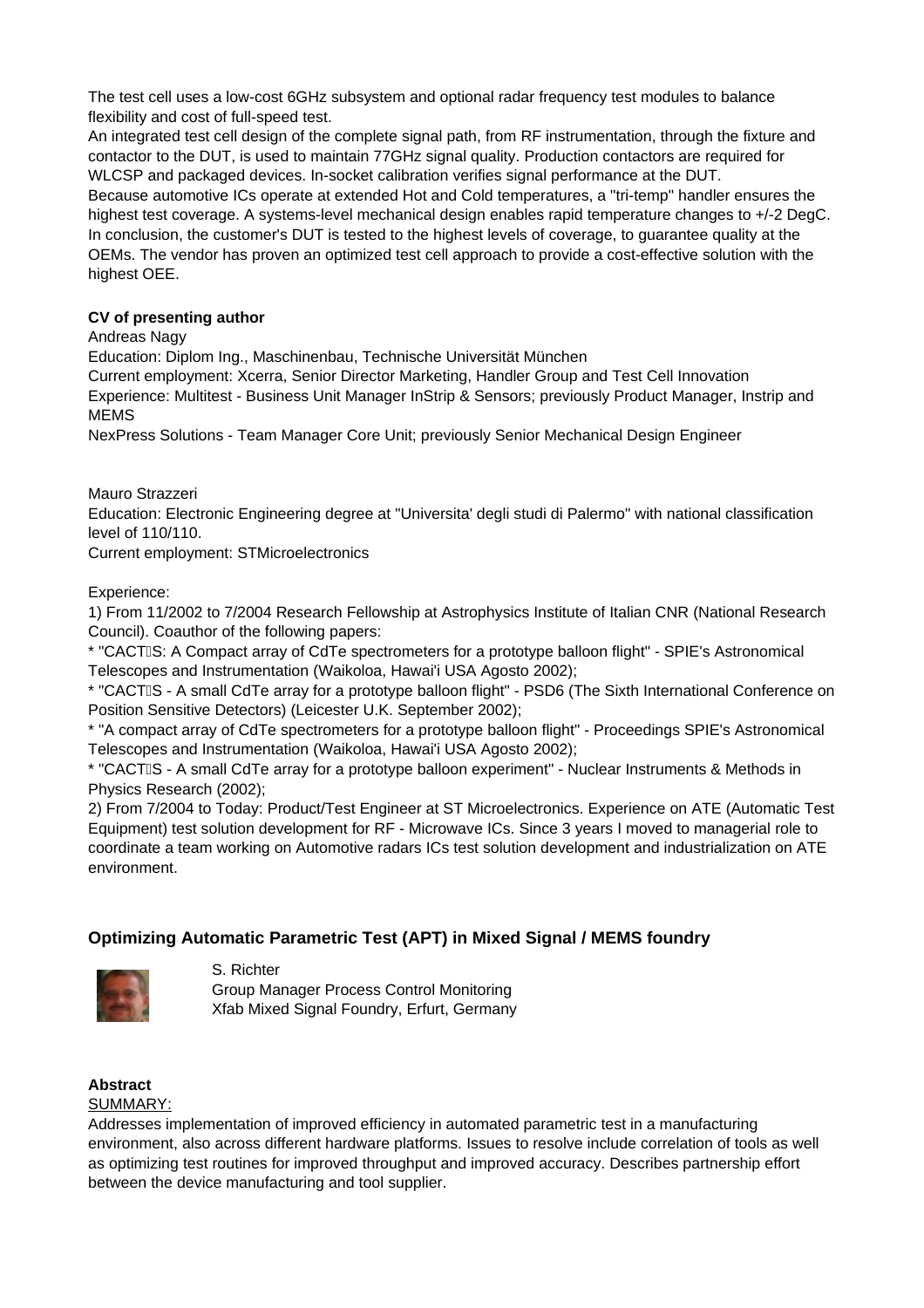The test cell uses a low-cost 6GHz subsystem and optional radar frequency test modules to balance flexibility and cost of full-speed test.

An integrated test cell design of the complete signal path, from RF instrumentation, through the fixture and contactor to the DUT, is used to maintain 77GHz signal quality. Production contactors are required for WLCSP and packaged devices. In-socket calibration verifies signal performance at the DUT. Because automotive ICs operate at extended Hot and Cold temperatures, a "tri-temp" handler ensures the highest test coverage. A systems-level mechanical design enables rapid temperature changes to +/-2 DegC. In conclusion, the customer's DUT is tested to the highest levels of coverage, to guarantee quality at the OEMs. The vendor has proven an optimized test cell approach to provide a cost-effective solution with the highest OEE.

## **CV of presenting author**

## Andreas Nagy

Education: Diplom Ing., Maschinenbau, Technische Universität München

Current employment: Xcerra, Senior Director Marketing, Handler Group and Test Cell Innovation Experience: Multitest - Business Unit Manager InStrip & Sensors; previously Product Manager, Instrip and MEMS

NexPress Solutions - Team Manager Core Unit; previously Senior Mechanical Design Engineer

Mauro Strazzeri

Education: Electronic Engineering degree at "Universita' degli studi di Palermo" with national classification level of 110/110.

Current employment: STMicroelectronics

Experience:

1) From 11/2002 to 7/2004 Research Fellowship at Astrophysics Institute of Italian CNR (National Research Council). Coauthor of the following papers:

\* "CACTS: A Compact array of CdTe spectrometers for a prototype balloon flight" - SPIE's Astronomical Telescopes and Instrumentation (Waikoloa, Hawai'i USA Agosto 2002);

\* "CACTS - A small CdTe array for a prototype balloon flight" - PSD6 (The Sixth International Conference on Position Sensitive Detectors) (Leicester U.K. September 2002);

\* "A compact array of CdTe spectrometers for a prototype balloon flight" - Proceedings SPIE's Astronomical Telescopes and Instrumentation (Waikoloa, Hawai'i USA Agosto 2002);

\* "CACTS - A small CdTe array for a prototype balloon experiment" - Nuclear Instruments & Methods in Physics Research (2002);

2) From 7/2004 to Today: Product/Test Engineer at ST Microelectronics. Experience on ATE (Automatic Test Equipment) test solution development for RF - Microwave ICs. Since 3 years I moved to managerial role to coordinate a team working on Automotive radars ICs test solution development and industrialization on ATE environment.

# **Optimizing Automatic Parametric Test (APT) in Mixed Signal / MEMS foundry**



S. Richter

Group Manager Process Control Monitoring Xfab Mixed Signal Foundry, Erfurt, Germany

#### **Abstract** SUMMARY:

Addresses implementation of improved efficiency in automated parametric test in a manufacturing environment, also across different hardware platforms. Issues to resolve include correlation of tools as well as optimizing test routines for improved throughput and improved accuracy. Describes partnership effort between the device manufacturing and tool supplier.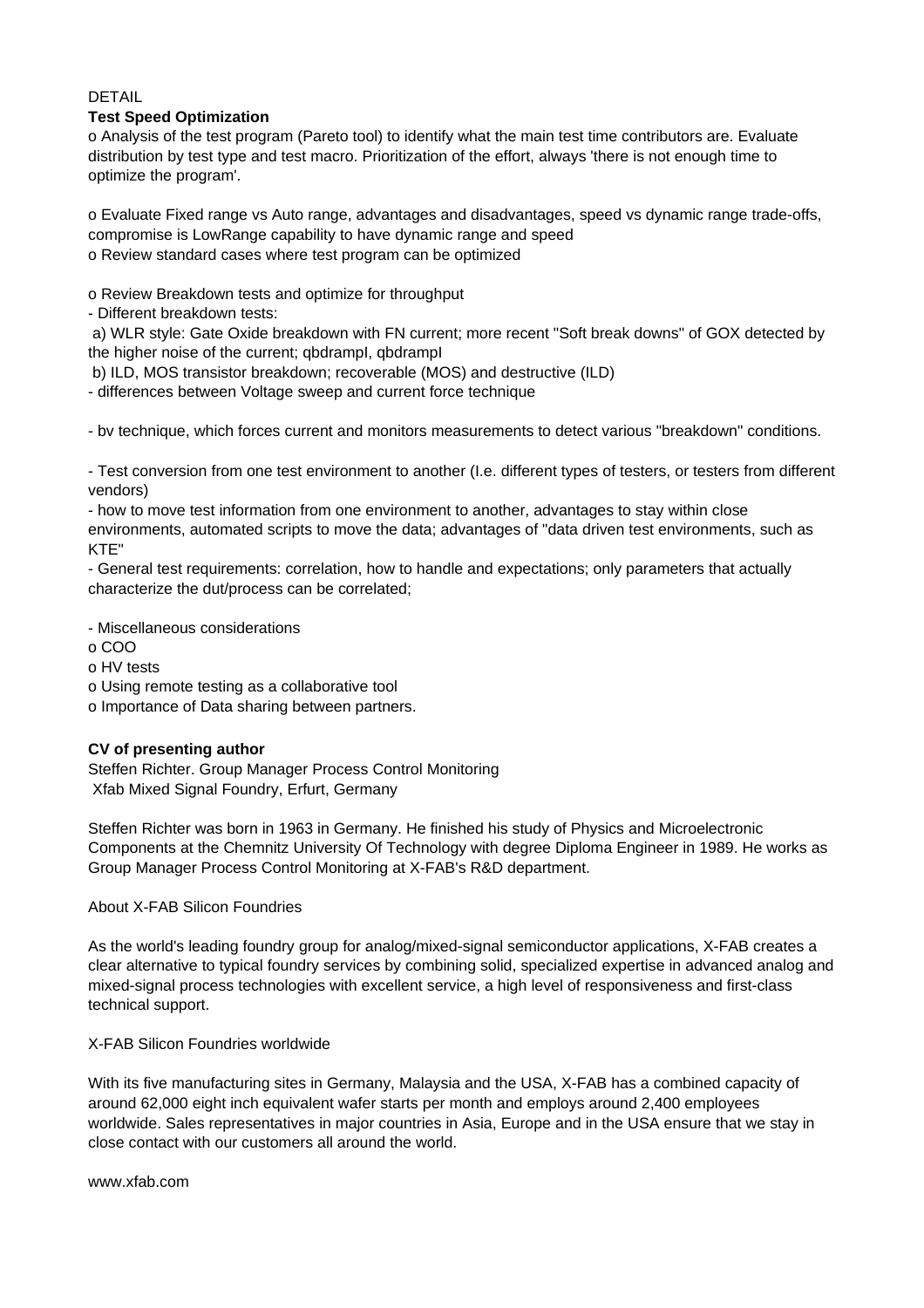#### DETAIL

### **Test Speed Optimization**

o Analysis of the test program (Pareto tool) to identify what the main test time contributors are. Evaluate distribution by test type and test macro. Prioritization of the effort, always 'there is not enough time to optimize the program'.

o Evaluate Fixed range vs Auto range, advantages and disadvantages, speed vs dynamic range trade-offs, compromise is LowRange capability to have dynamic range and speed o Review standard cases where test program can be optimized

o Review Breakdown tests and optimize for throughput

- Different breakdown tests:

 a) WLR style: Gate Oxide breakdown with FN current; more recent "Soft break downs" of GOX detected by the higher noise of the current; qbdrampI, qbdrampI

b) ILD, MOS transistor breakdown; recoverable (MOS) and destructive (ILD)

- differences between Voltage sweep and current force technique

- bv technique, which forces current and monitors measurements to detect various "breakdown" conditions.

- Test conversion from one test environment to another (I.e. different types of testers, or testers from different vendors)

- how to move test information from one environment to another, advantages to stay within close environments, automated scripts to move the data; advantages of "data driven test environments, such as KTE"

- General test requirements: correlation, how to handle and expectations; only parameters that actually characterize the dut/process can be correlated;

- Miscellaneous considerations

o COO

o HV tests

o Using remote testing as a collaborative tool

o Importance of Data sharing between partners.

## **CV of presenting author**

Steffen Richter. Group Manager Process Control Monitoring Xfab Mixed Signal Foundry, Erfurt, Germany

Steffen Richter was born in 1963 in Germany. He finished his study of Physics and Microelectronic Components at the Chemnitz University Of Technology with degree Diploma Engineer in 1989. He works as Group Manager Process Control Monitoring at X-FAB's R&D department.

About X-FAB Silicon Foundries

As the world's leading foundry group for analog/mixed-signal semiconductor applications, X-FAB creates a clear alternative to typical foundry services by combining solid, specialized expertise in advanced analog and mixed-signal process technologies with excellent service, a high level of responsiveness and first-class technical support.

X-FAB Silicon Foundries worldwide

With its five manufacturing sites in Germany, Malaysia and the USA, X-FAB has a combined capacity of around 62,000 eight inch equivalent wafer starts per month and employs around 2,400 employees worldwide. Sales representatives in major countries in Asia, Europe and in the USA ensure that we stay in close contact with our customers all around the world.

www.xfab.com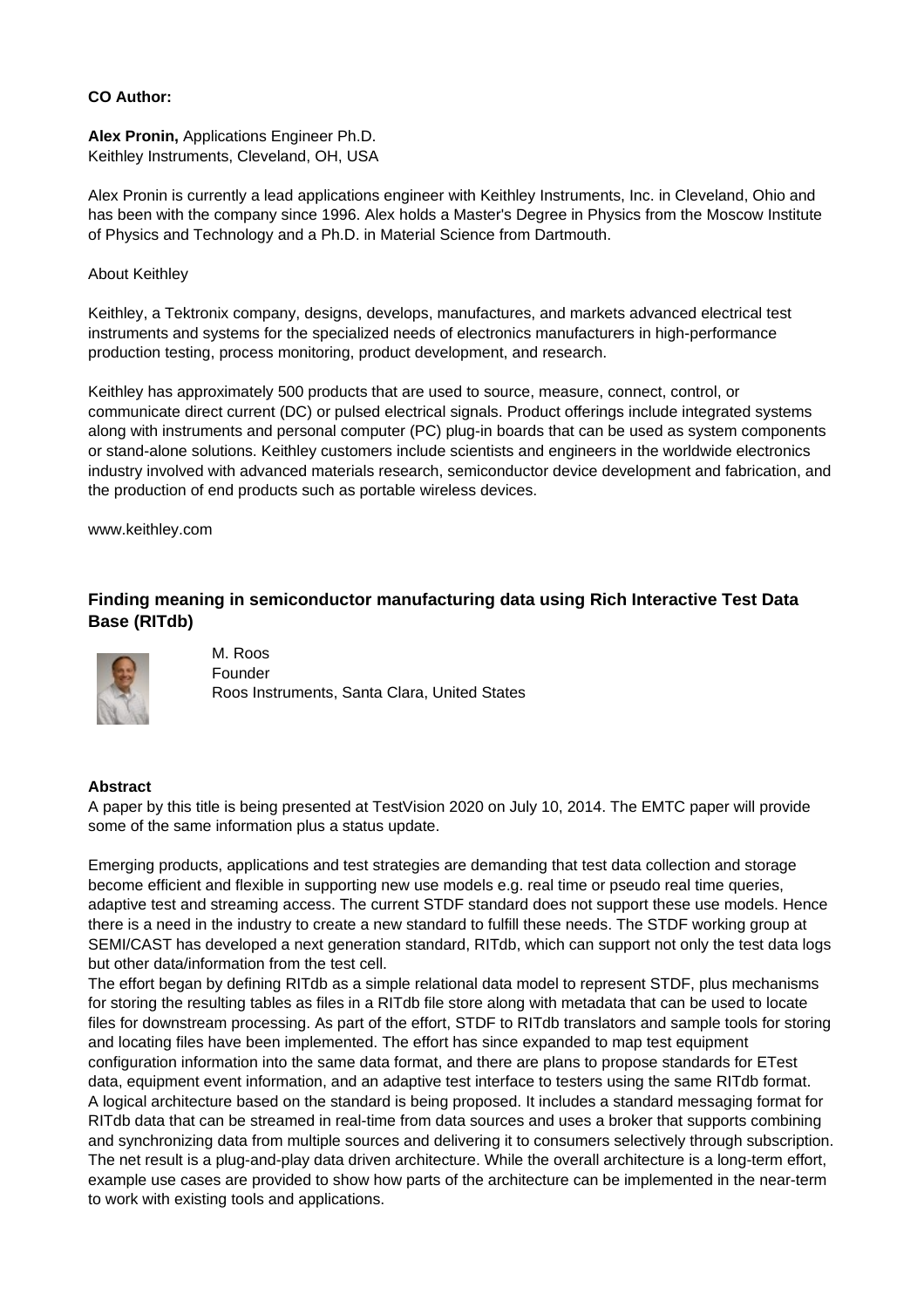### **CO Author:**

**Alex Pronin,** Applications Engineer Ph.D. Keithley Instruments, Cleveland, OH, USA

Alex Pronin is currently a lead applications engineer with Keithley Instruments, Inc. in Cleveland, Ohio and has been with the company since 1996. Alex holds a Master's Degree in Physics from the Moscow Institute of Physics and Technology and a Ph.D. in Material Science from Dartmouth.

#### About Keithley

Keithley, a Tektronix company, designs, develops, manufactures, and markets advanced electrical test instruments and systems for the specialized needs of electronics manufacturers in high-performance production testing, process monitoring, product development, and research.

Keithley has approximately 500 products that are used to source, measure, connect, control, or communicate direct current (DC) or pulsed electrical signals. Product offerings include integrated systems along with instruments and personal computer (PC) plug-in boards that can be used as system components or stand-alone solutions. Keithley customers include scientists and engineers in the worldwide electronics industry involved with advanced materials research, semiconductor device development and fabrication, and the production of end products such as portable wireless devices.

www.keithley.com

## **Finding meaning in semiconductor manufacturing data using Rich Interactive Test Data Base (RITdb)**



M. Roos Founder Roos Instruments, Santa Clara, United States

## **Abstract**

A paper by this title is being presented at TestVision 2020 on July 10, 2014. The EMTC paper will provide some of the same information plus a status update.

Emerging products, applications and test strategies are demanding that test data collection and storage become efficient and flexible in supporting new use models e.g. real time or pseudo real time queries, adaptive test and streaming access. The current STDF standard does not support these use models. Hence there is a need in the industry to create a new standard to fulfill these needs. The STDF working group at SEMI/CAST has developed a next generation standard, RITdb, which can support not only the test data logs but other data/information from the test cell.

The effort began by defining RITdb as a simple relational data model to represent STDF, plus mechanisms for storing the resulting tables as files in a RITdb file store along with metadata that can be used to locate files for downstream processing. As part of the effort, STDF to RITdb translators and sample tools for storing and locating files have been implemented. The effort has since expanded to map test equipment configuration information into the same data format, and there are plans to propose standards for ETest data, equipment event information, and an adaptive test interface to testers using the same RITdb format. A logical architecture based on the standard is being proposed. It includes a standard messaging format for RITdb data that can be streamed in real-time from data sources and uses a broker that supports combining and synchronizing data from multiple sources and delivering it to consumers selectively through subscription. The net result is a plug-and-play data driven architecture. While the overall architecture is a long-term effort, example use cases are provided to show how parts of the architecture can be implemented in the near-term to work with existing tools and applications.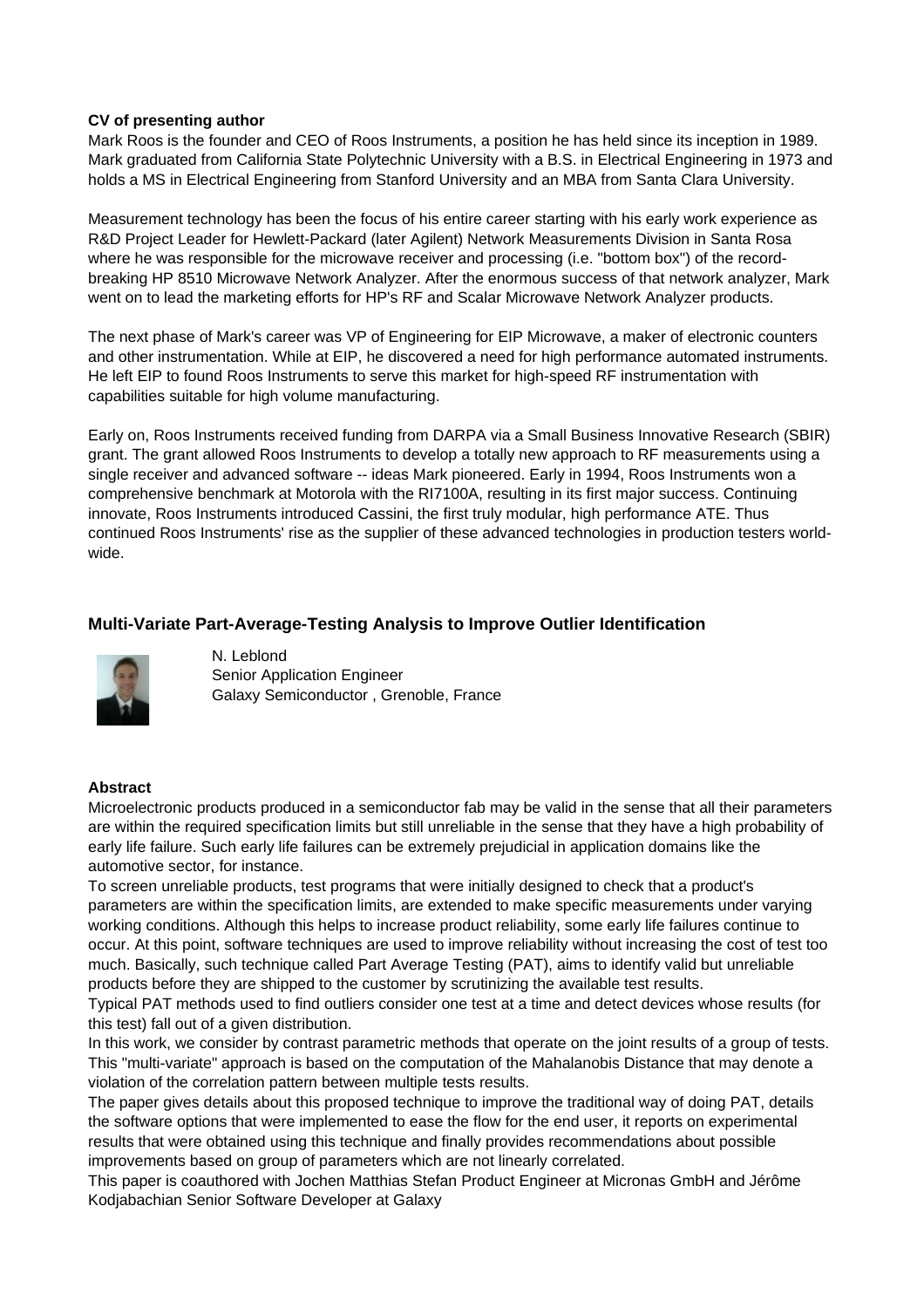### **CV of presenting author**

Mark Roos is the founder and CEO of Roos Instruments, a position he has held since its inception in 1989. Mark graduated from California State Polytechnic University with a B.S. in Electrical Engineering in 1973 and holds a MS in Electrical Engineering from Stanford University and an MBA from Santa Clara University.

Measurement technology has been the focus of his entire career starting with his early work experience as R&D Project Leader for Hewlett-Packard (later Agilent) Network Measurements Division in Santa Rosa where he was responsible for the microwave receiver and processing (i.e. "bottom box") of the recordbreaking HP 8510 Microwave Network Analyzer. After the enormous success of that network analyzer, Mark went on to lead the marketing efforts for HP's RF and Scalar Microwave Network Analyzer products.

The next phase of Mark's career was VP of Engineering for EIP Microwave, a maker of electronic counters and other instrumentation. While at EIP, he discovered a need for high performance automated instruments. He left EIP to found Roos Instruments to serve this market for high-speed RF instrumentation with capabilities suitable for high volume manufacturing.

Early on, Roos Instruments received funding from DARPA via a Small Business Innovative Research (SBIR) grant. The grant allowed Roos Instruments to develop a totally new approach to RF measurements using a single receiver and advanced software -- ideas Mark pioneered. Early in 1994, Roos Instruments won a comprehensive benchmark at Motorola with the RI7100A, resulting in its first major success. Continuing innovate, Roos Instruments introduced Cassini, the first truly modular, high performance ATE. Thus continued Roos Instruments' rise as the supplier of these advanced technologies in production testers worldwide.

## **Multi-Variate Part-Average-Testing Analysis to Improve Outlier Identification**



N. Leblond Senior Application Engineer Galaxy Semiconductor , Grenoble, France

## **Abstract**

Microelectronic products produced in a semiconductor fab may be valid in the sense that all their parameters are within the required specification limits but still unreliable in the sense that they have a high probability of early life failure. Such early life failures can be extremely prejudicial in application domains like the automotive sector, for instance.

To screen unreliable products, test programs that were initially designed to check that a product's parameters are within the specification limits, are extended to make specific measurements under varying working conditions. Although this helps to increase product reliability, some early life failures continue to occur. At this point, software techniques are used to improve reliability without increasing the cost of test too much. Basically, such technique called Part Average Testing (PAT), aims to identify valid but unreliable products before they are shipped to the customer by scrutinizing the available test results.

Typical PAT methods used to find outliers consider one test at a time and detect devices whose results (for this test) fall out of a given distribution.

In this work, we consider by contrast parametric methods that operate on the joint results of a group of tests. This "multi-variate" approach is based on the computation of the Mahalanobis Distance that may denote a violation of the correlation pattern between multiple tests results.

The paper gives details about this proposed technique to improve the traditional way of doing PAT, details the software options that were implemented to ease the flow for the end user, it reports on experimental results that were obtained using this technique and finally provides recommendations about possible improvements based on group of parameters which are not linearly correlated.

This paper is coauthored with Jochen Matthias Stefan Product Engineer at Micronas GmbH and Jérôme Kodjabachian Senior Software Developer at Galaxy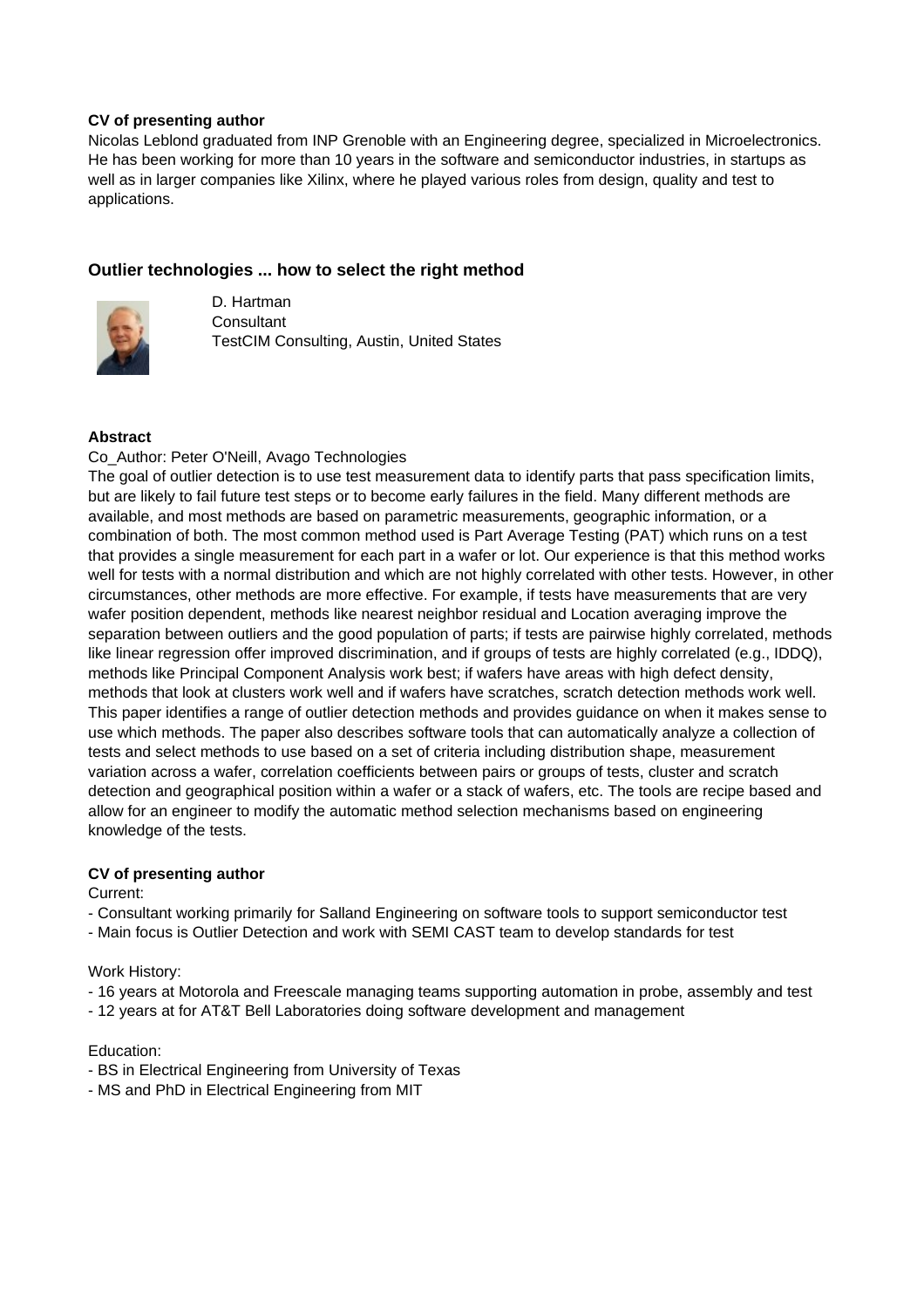## **CV of presenting author**

Nicolas Leblond graduated from INP Grenoble with an Engineering degree, specialized in Microelectronics. He has been working for more than 10 years in the software and semiconductor industries, in startups as well as in larger companies like Xilinx, where he played various roles from design, quality and test to applications.

## **Outlier technologies ... how to select the right method**



D. Hartman **Consultant** TestCIM Consulting, Austin, United States

### **Abstract**

#### Co\_Author: Peter O'Neill, Avago Technologies

The goal of outlier detection is to use test measurement data to identify parts that pass specification limits, but are likely to fail future test steps or to become early failures in the field. Many different methods are available, and most methods are based on parametric measurements, geographic information, or a combination of both. The most common method used is Part Average Testing (PAT) which runs on a test that provides a single measurement for each part in a wafer or lot. Our experience is that this method works well for tests with a normal distribution and which are not highly correlated with other tests. However, in other circumstances, other methods are more effective. For example, if tests have measurements that are very wafer position dependent, methods like nearest neighbor residual and Location averaging improve the separation between outliers and the good population of parts; if tests are pairwise highly correlated, methods like linear regression offer improved discrimination, and if groups of tests are highly correlated (e.g., IDDQ), methods like Principal Component Analysis work best; if wafers have areas with high defect density, methods that look at clusters work well and if wafers have scratches, scratch detection methods work well. This paper identifies a range of outlier detection methods and provides guidance on when it makes sense to use which methods. The paper also describes software tools that can automatically analyze a collection of tests and select methods to use based on a set of criteria including distribution shape, measurement variation across a wafer, correlation coefficients between pairs or groups of tests, cluster and scratch detection and geographical position within a wafer or a stack of wafers, etc. The tools are recipe based and allow for an engineer to modify the automatic method selection mechanisms based on engineering knowledge of the tests.

## **CV of presenting author**

#### Current:

- Consultant working primarily for Salland Engineering on software tools to support semiconductor test

- Main focus is Outlier Detection and work with SEMI CAST team to develop standards for test

#### Work History:

- 16 years at Motorola and Freescale managing teams supporting automation in probe, assembly and test
- 12 years at for AT&T Bell Laboratories doing software development and management

#### Education:

- BS in Electrical Engineering from University of Texas
- MS and PhD in Electrical Engineering from MIT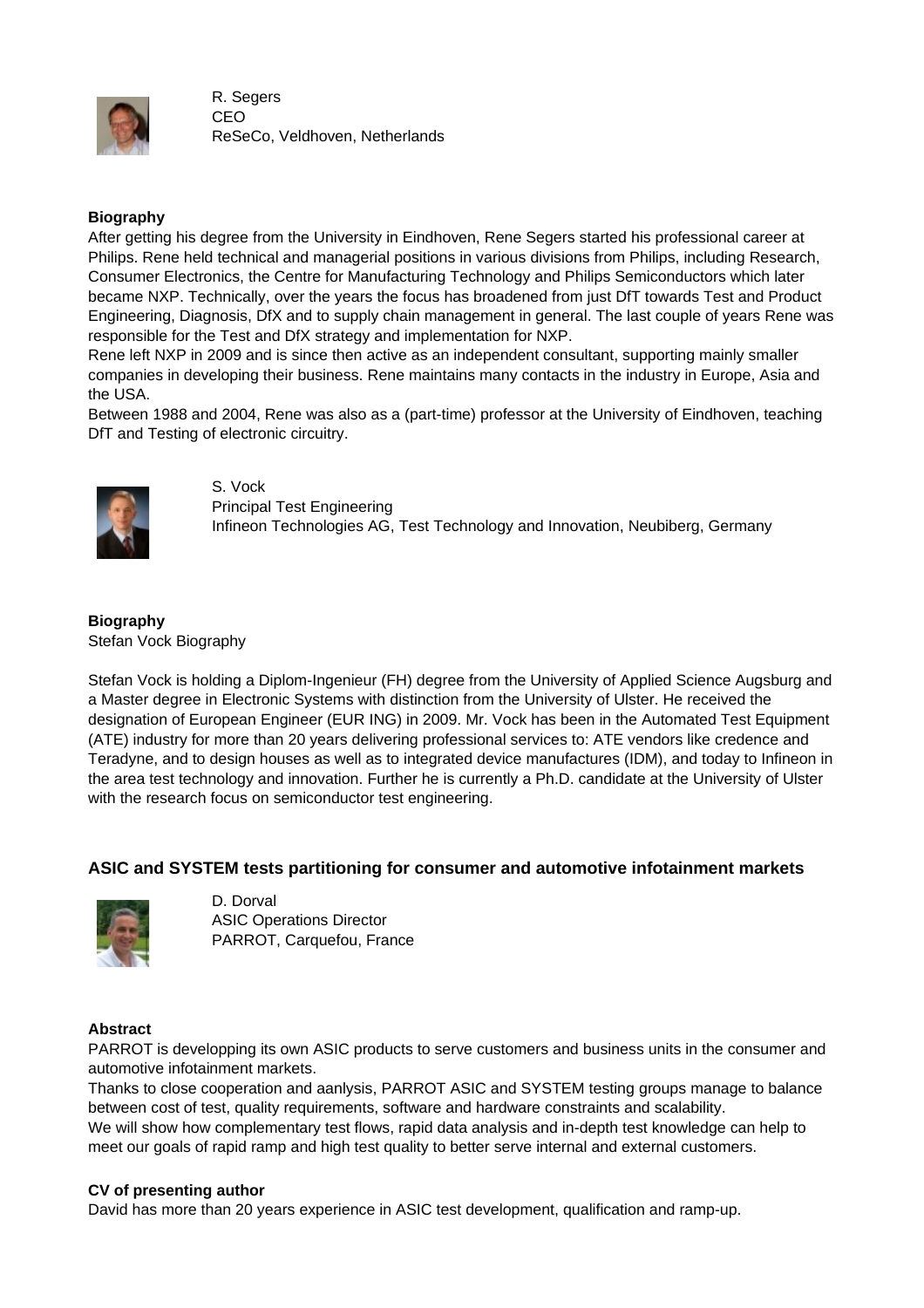

R. Segers CEO ReSeCo, Veldhoven, Netherlands

## **Biography**

After getting his degree from the University in Eindhoven, Rene Segers started his professional career at Philips. Rene held technical and managerial positions in various divisions from Philips, including Research, Consumer Electronics, the Centre for Manufacturing Technology and Philips Semiconductors which later became NXP. Technically, over the years the focus has broadened from just DfT towards Test and Product Engineering, Diagnosis, DfX and to supply chain management in general. The last couple of years Rene was responsible for the Test and DfX strategy and implementation for NXP.

Rene left NXP in 2009 and is since then active as an independent consultant, supporting mainly smaller companies in developing their business. Rene maintains many contacts in the industry in Europe, Asia and the USA.

Between 1988 and 2004, Rene was also as a (part-time) professor at the University of Eindhoven, teaching DfT and Testing of electronic circuitry.



S. Vock Principal Test Engineering Infineon Technologies AG, Test Technology and Innovation, Neubiberg, Germany

## **Biography**

Stefan Vock Biography

Stefan Vock is holding a Diplom-Ingenieur (FH) degree from the University of Applied Science Augsburg and a Master degree in Electronic Systems with distinction from the University of Ulster. He received the designation of European Engineer (EUR ING) in 2009. Mr. Vock has been in the Automated Test Equipment (ATE) industry for more than 20 years delivering professional services to: ATE vendors like credence and Teradyne, and to design houses as well as to integrated device manufactures (IDM), and today to Infineon in the area test technology and innovation. Further he is currently a Ph.D. candidate at the University of Ulster with the research focus on semiconductor test engineering.

## **ASIC and SYSTEM tests partitioning for consumer and automotive infotainment markets**



D. Dorval ASIC Operations Director PARROT, Carquefou, France

## **Abstract**

PARROT is developping its own ASIC products to serve customers and business units in the consumer and automotive infotainment markets.

Thanks to close cooperation and aanlysis, PARROT ASIC and SYSTEM testing groups manage to balance between cost of test, quality requirements, software and hardware constraints and scalability.

We will show how complementary test flows, rapid data analysis and in-depth test knowledge can help to meet our goals of rapid ramp and high test quality to better serve internal and external customers.

#### **CV of presenting author**

David has more than 20 years experience in ASIC test development, qualification and ramp-up.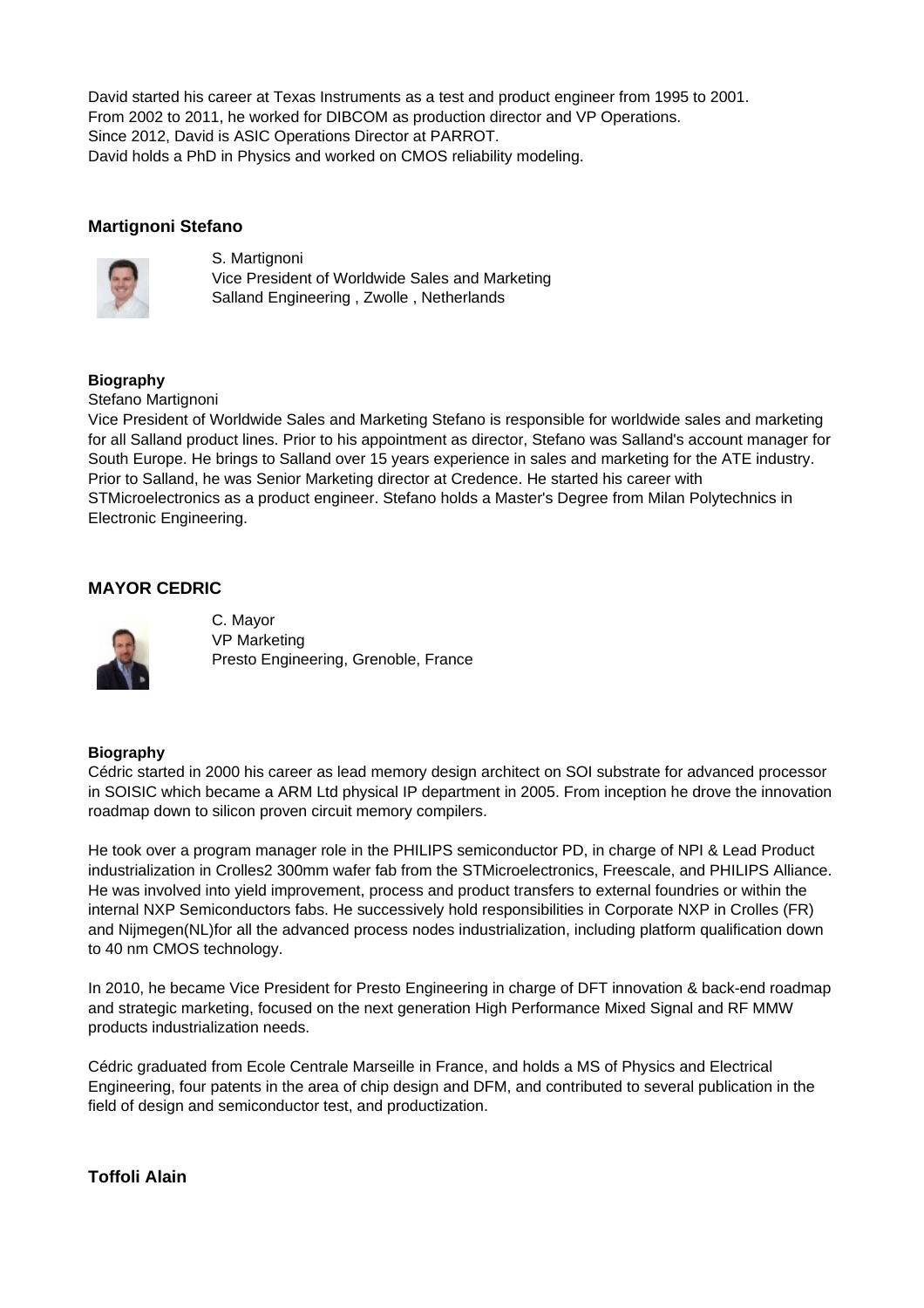David started his career at Texas Instruments as a test and product engineer from 1995 to 2001. From 2002 to 2011, he worked for DIBCOM as production director and VP Operations. Since 2012, David is ASIC Operations Director at PARROT. David holds a PhD in Physics and worked on CMOS reliability modeling.

## **Martignoni Stefano**



S. Martignoni Vice President of Worldwide Sales and Marketing Salland Engineering , Zwolle , Netherlands

## **Biography**

#### Stefano Martignoni

Vice President of Worldwide Sales and Marketing Stefano is responsible for worldwide sales and marketing for all Salland product lines. Prior to his appointment as director, Stefano was Salland's account manager for South Europe. He brings to Salland over 15 years experience in sales and marketing for the ATE industry. Prior to Salland, he was Senior Marketing director at Credence. He started his career with STMicroelectronics as a product engineer. Stefano holds a Master's Degree from Milan Polytechnics in Electronic Engineering.

## **MAYOR CEDRIC**



C. Mayor VP Marketing Presto Engineering, Grenoble, France

## **Biography**

Cédric started in 2000 his career as lead memory design architect on SOI substrate for advanced processor in SOISIC which became a ARM Ltd physical IP department in 2005. From inception he drove the innovation roadmap down to silicon proven circuit memory compilers.

He took over a program manager role in the PHILIPS semiconductor PD, in charge of NPI & Lead Product industrialization in Crolles2 300mm wafer fab from the STMicroelectronics, Freescale, and PHILIPS Alliance. He was involved into yield improvement, process and product transfers to external foundries or within the internal NXP Semiconductors fabs. He successively hold responsibilities in Corporate NXP in Crolles (FR) and Nijmegen(NL)for all the advanced process nodes industrialization, including platform qualification down to 40 nm CMOS technology.

In 2010, he became Vice President for Presto Engineering in charge of DFT innovation & back-end roadmap and strategic marketing, focused on the next generation High Performance Mixed Signal and RF MMW products industrialization needs.

Cédric graduated from Ecole Centrale Marseille in France, and holds a MS of Physics and Electrical Engineering, four patents in the area of chip design and DFM, and contributed to several publication in the field of design and semiconductor test, and productization.

## **Toffoli Alain**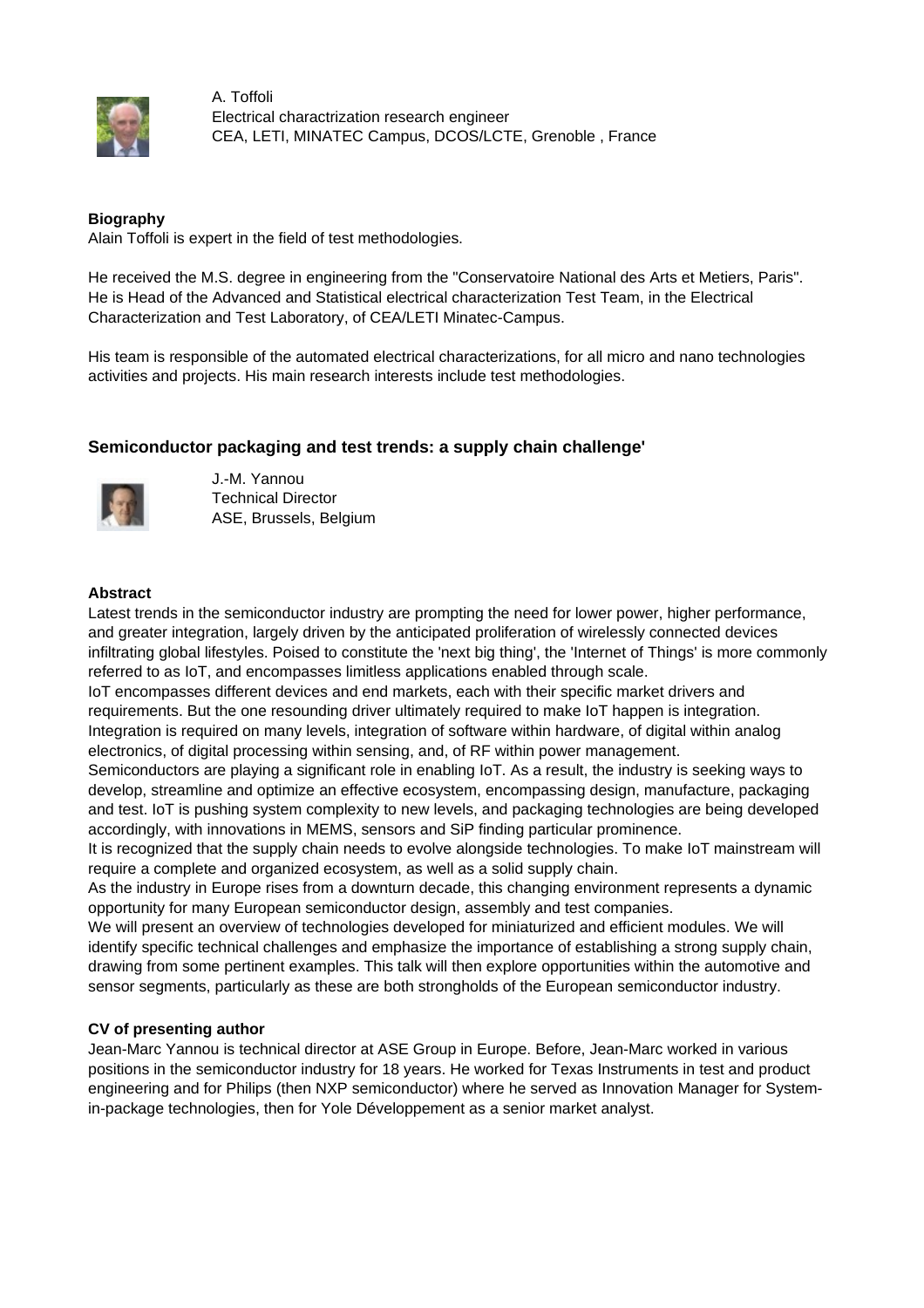

A. Toffoli Electrical charactrization research engineer CEA, LETI, MINATEC Campus, DCOS/LCTE, Grenoble , France

## **Biography**

Alain Toffoli is expert in the field of test methodologies.

He received the M.S. degree in engineering from the "Conservatoire National des Arts et Metiers, Paris". He is Head of the Advanced and Statistical electrical characterization Test Team, in the Electrical Characterization and Test Laboratory, of CEA/LETI Minatec-Campus.

His team is responsible of the automated electrical characterizations, for all micro and nano technologies activities and projects. His main research interests include test methodologies.

## **Semiconductor packaging and test trends: a supply chain challenge'**



J.-M. Yannou Technical Director ASE, Brussels, Belgium

## **Abstract**

Latest trends in the semiconductor industry are prompting the need for lower power, higher performance, and greater integration, largely driven by the anticipated proliferation of wirelessly connected devices infiltrating global lifestyles. Poised to constitute the 'next big thing', the 'Internet of Things' is more commonly referred to as IoT, and encompasses limitless applications enabled through scale.

IoT encompasses different devices and end markets, each with their specific market drivers and requirements. But the one resounding driver ultimately required to make IoT happen is integration. Integration is required on many levels, integration of software within hardware, of digital within analog electronics, of digital processing within sensing, and, of RF within power management.

Semiconductors are playing a significant role in enabling IoT. As a result, the industry is seeking ways to develop, streamline and optimize an effective ecosystem, encompassing design, manufacture, packaging and test. IoT is pushing system complexity to new levels, and packaging technologies are being developed accordingly, with innovations in MEMS, sensors and SiP finding particular prominence.

It is recognized that the supply chain needs to evolve alongside technologies. To make IoT mainstream will require a complete and organized ecosystem, as well as a solid supply chain.

As the industry in Europe rises from a downturn decade, this changing environment represents a dynamic opportunity for many European semiconductor design, assembly and test companies.

We will present an overview of technologies developed for miniaturized and efficient modules. We will identify specific technical challenges and emphasize the importance of establishing a strong supply chain, drawing from some pertinent examples. This talk will then explore opportunities within the automotive and sensor segments, particularly as these are both strongholds of the European semiconductor industry.

## **CV of presenting author**

Jean-Marc Yannou is technical director at ASE Group in Europe. Before, Jean-Marc worked in various positions in the semiconductor industry for 18 years. He worked for Texas Instruments in test and product engineering and for Philips (then NXP semiconductor) where he served as Innovation Manager for Systemin-package technologies, then for Yole Développement as a senior market analyst.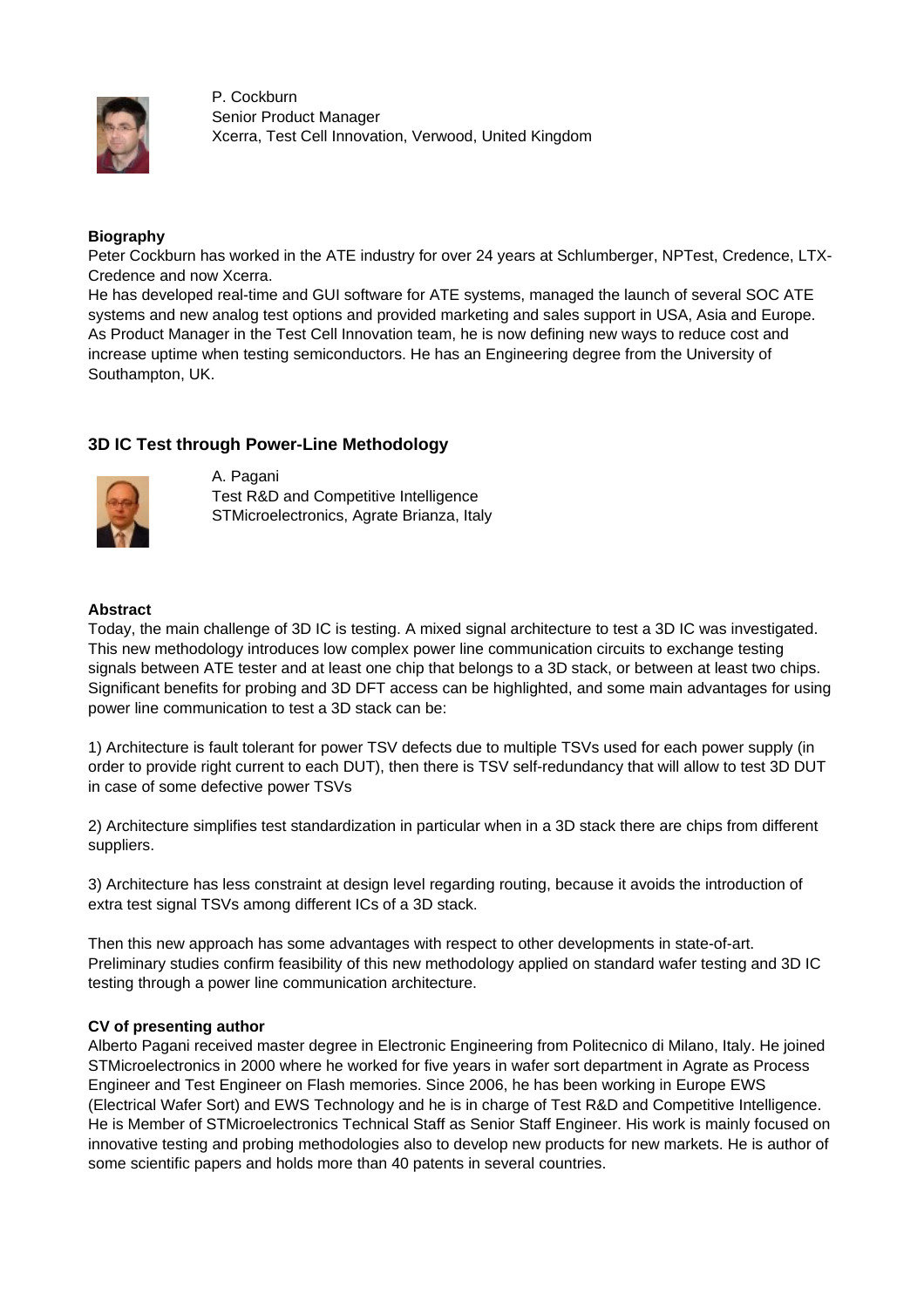

P. Cockburn Senior Product Manager Xcerra, Test Cell Innovation, Verwood, United Kingdom

### **Biography**

Peter Cockburn has worked in the ATE industry for over 24 years at Schlumberger, NPTest, Credence, LTX-Credence and now Xcerra.

He has developed real-time and GUI software for ATE systems, managed the launch of several SOC ATE systems and new analog test options and provided marketing and sales support in USA, Asia and Europe. As Product Manager in the Test Cell Innovation team, he is now defining new ways to reduce cost and increase uptime when testing semiconductors. He has an Engineering degree from the University of Southampton, UK.

## **3D IC Test through Power-Line Methodology**



A. Pagani Test R&D and Competitive Intelligence STMicroelectronics, Agrate Brianza, Italy

### **Abstract**

Today, the main challenge of 3D IC is testing. A mixed signal architecture to test a 3D IC was investigated. This new methodology introduces low complex power line communication circuits to exchange testing signals between ATE tester and at least one chip that belongs to a 3D stack, or between at least two chips. Significant benefits for probing and 3D DFT access can be highlighted, and some main advantages for using power line communication to test a 3D stack can be:

1) Architecture is fault tolerant for power TSV defects due to multiple TSVs used for each power supply (in order to provide right current to each DUT), then there is TSV self-redundancy that will allow to test 3D DUT in case of some defective power TSVs

2) Architecture simplifies test standardization in particular when in a 3D stack there are chips from different suppliers.

3) Architecture has less constraint at design level regarding routing, because it avoids the introduction of extra test signal TSVs among different ICs of a 3D stack.

Then this new approach has some advantages with respect to other developments in state-of-art. Preliminary studies confirm feasibility of this new methodology applied on standard wafer testing and 3D IC testing through a power line communication architecture.

#### **CV of presenting author**

Alberto Pagani received master degree in Electronic Engineering from Politecnico di Milano, Italy. He joined STMicroelectronics in 2000 where he worked for five years in wafer sort department in Agrate as Process Engineer and Test Engineer on Flash memories. Since 2006, he has been working in Europe EWS (Electrical Wafer Sort) and EWS Technology and he is in charge of Test R&D and Competitive Intelligence. He is Member of STMicroelectronics Technical Staff as Senior Staff Engineer. His work is mainly focused on innovative testing and probing methodologies also to develop new products for new markets. He is author of some scientific papers and holds more than 40 patents in several countries.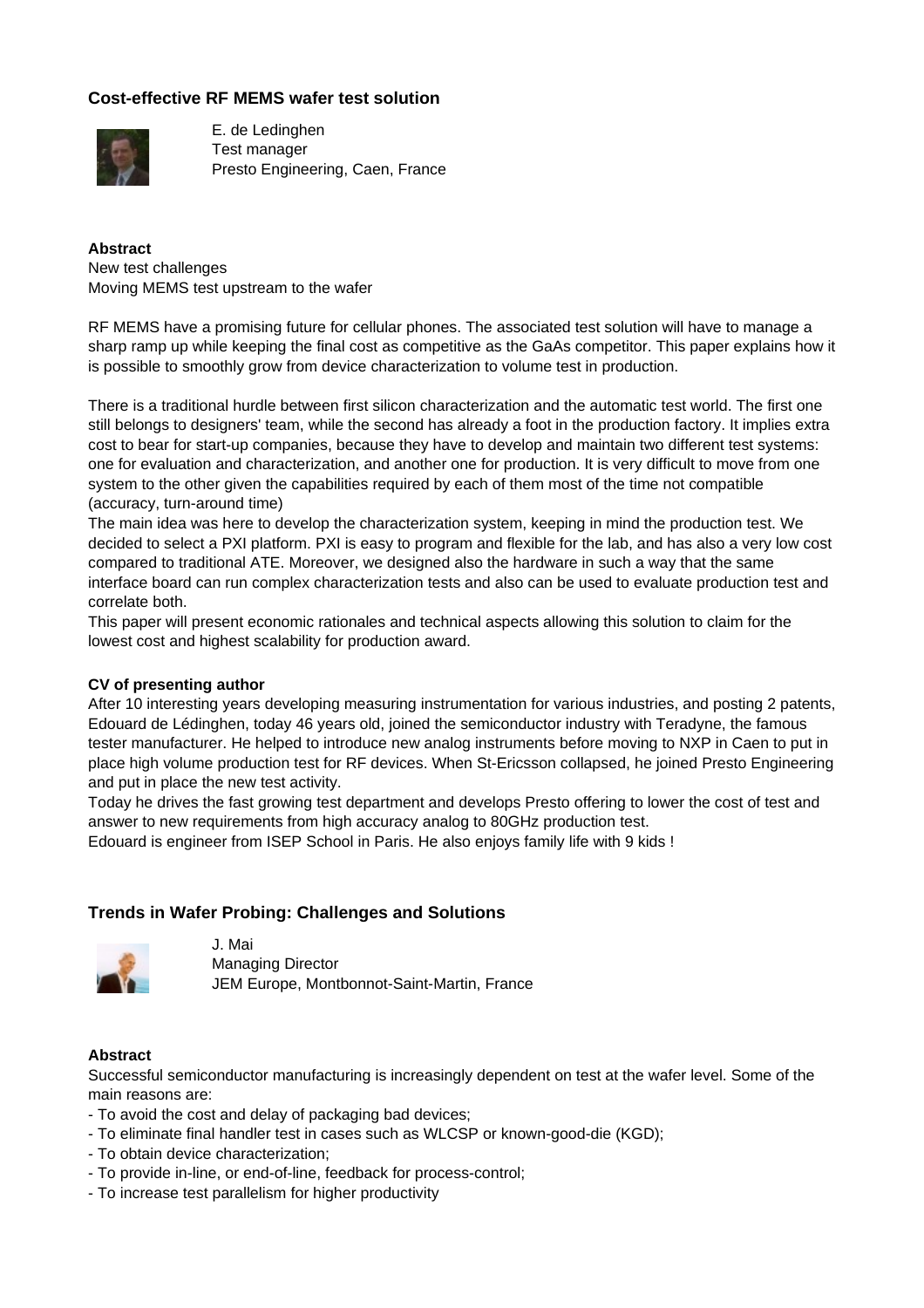## **Cost-effective RF MEMS wafer test solution**



E. de Ledinghen Test manager Presto Engineering, Caen, France

**Abstract** New test challenges Moving MEMS test upstream to the wafer

RF MEMS have a promising future for cellular phones. The associated test solution will have to manage a sharp ramp up while keeping the final cost as competitive as the GaAs competitor. This paper explains how it is possible to smoothly grow from device characterization to volume test in production.

There is a traditional hurdle between first silicon characterization and the automatic test world. The first one still belongs to designers' team, while the second has already a foot in the production factory. It implies extra cost to bear for start-up companies, because they have to develop and maintain two different test systems: one for evaluation and characterization, and another one for production. It is very difficult to move from one system to the other given the capabilities required by each of them most of the time not compatible (accuracy, turn-around time)

The main idea was here to develop the characterization system, keeping in mind the production test. We decided to select a PXI platform. PXI is easy to program and flexible for the lab, and has also a very low cost compared to traditional ATE. Moreover, we designed also the hardware in such a way that the same interface board can run complex characterization tests and also can be used to evaluate production test and correlate both.

This paper will present economic rationales and technical aspects allowing this solution to claim for the lowest cost and highest scalability for production award.

## **CV of presenting author**

After 10 interesting years developing measuring instrumentation for various industries, and posting 2 patents, Edouard de Lédinghen, today 46 years old, joined the semiconductor industry with Teradyne, the famous tester manufacturer. He helped to introduce new analog instruments before moving to NXP in Caen to put in place high volume production test for RF devices. When St-Ericsson collapsed, he joined Presto Engineering and put in place the new test activity.

Today he drives the fast growing test department and develops Presto offering to lower the cost of test and answer to new requirements from high accuracy analog to 80GHz production test.

Edouard is engineer from ISEP School in Paris. He also enjoys family life with 9 kids !

## **Trends in Wafer Probing: Challenges and Solutions**



J. Mai Managing Director JEM Europe, Montbonnot-Saint-Martin, France

#### **Abstract**

Successful semiconductor manufacturing is increasingly dependent on test at the wafer level. Some of the main reasons are:

- To avoid the cost and delay of packaging bad devices;
- To eliminate final handler test in cases such as WLCSP or known-good-die (KGD);
- To obtain device characterization;
- To provide in-line, or end-of-line, feedback for process-control;
- To increase test parallelism for higher productivity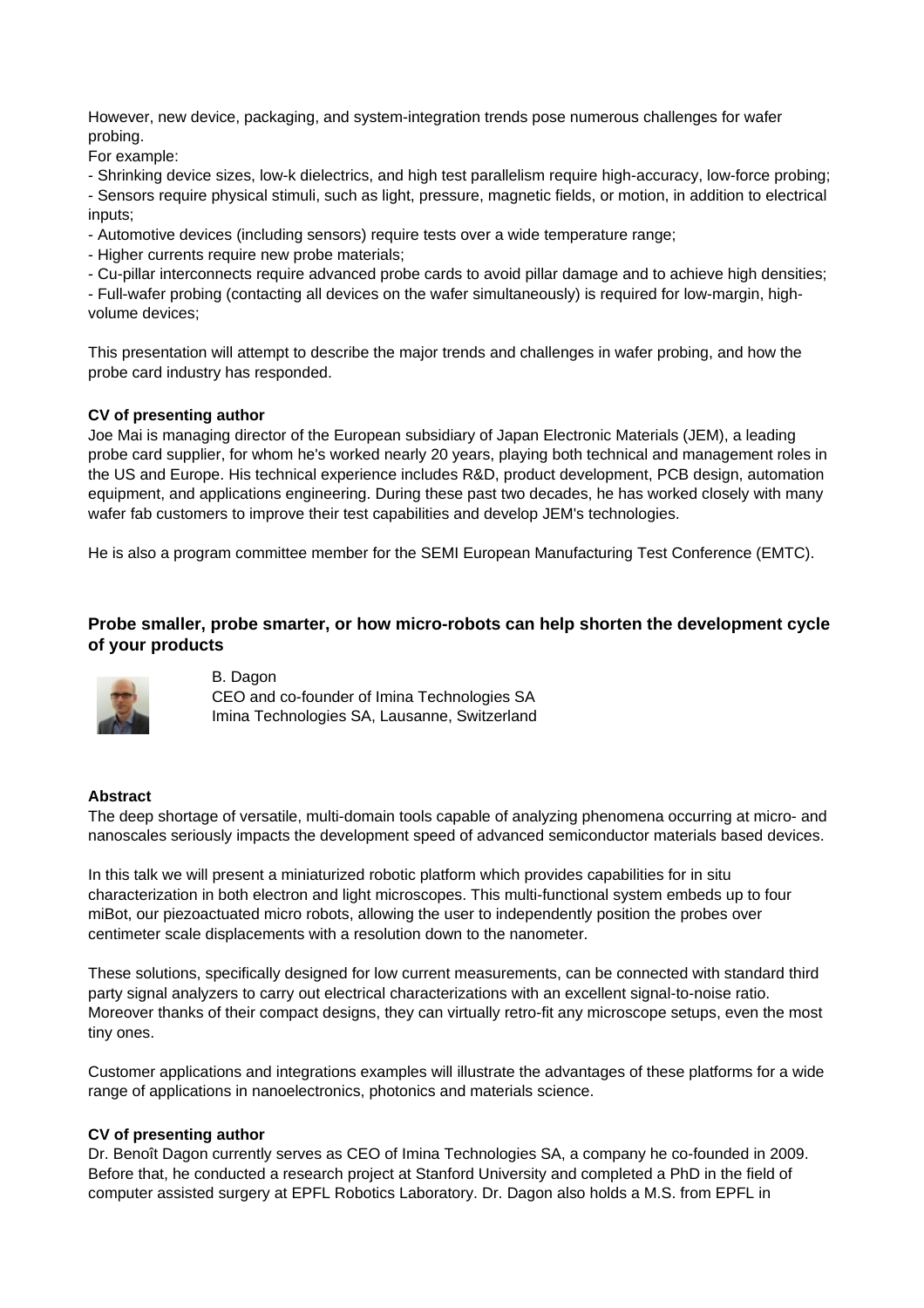However, new device, packaging, and system-integration trends pose numerous challenges for wafer probing.

For example:

- Shrinking device sizes, low-k dielectrics, and high test parallelism require high-accuracy, low-force probing;

- Sensors require physical stimuli, such as light, pressure, magnetic fields, or motion, in addition to electrical inputs;

- Automotive devices (including sensors) require tests over a wide temperature range;

- Higher currents require new probe materials;

- Cu-pillar interconnects require advanced probe cards to avoid pillar damage and to achieve high densities;

- Full-wafer probing (contacting all devices on the wafer simultaneously) is required for low-margin, highvolume devices;

This presentation will attempt to describe the major trends and challenges in wafer probing, and how the probe card industry has responded.

## **CV of presenting author**

Joe Mai is managing director of the European subsidiary of Japan Electronic Materials (JEM), a leading probe card supplier, for whom he's worked nearly 20 years, playing both technical and management roles in the US and Europe. His technical experience includes R&D, product development, PCB design, automation equipment, and applications engineering. During these past two decades, he has worked closely with many wafer fab customers to improve their test capabilities and develop JEM's technologies.

He is also a program committee member for the SEMI European Manufacturing Test Conference (EMTC).

## **Probe smaller, probe smarter, or how micro-robots can help shorten the development cycle of your products**



B. Dagon CEO and co-founder of Imina Technologies SA Imina Technologies SA, Lausanne, Switzerland

#### **Abstract**

The deep shortage of versatile, multi-domain tools capable of analyzing phenomena occurring at micro- and nanoscales seriously impacts the development speed of advanced semiconductor materials based devices.

In this talk we will present a miniaturized robotic platform which provides capabilities for in situ characterization in both electron and light microscopes. This multi-functional system embeds up to four miBot, our piezoactuated micro robots, allowing the user to independently position the probes over centimeter scale displacements with a resolution down to the nanometer.

These solutions, specifically designed for low current measurements, can be connected with standard third party signal analyzers to carry out electrical characterizations with an excellent signal-to-noise ratio. Moreover thanks of their compact designs, they can virtually retro-fit any microscope setups, even the most tiny ones.

Customer applications and integrations examples will illustrate the advantages of these platforms for a wide range of applications in nanoelectronics, photonics and materials science.

## **CV of presenting author**

Dr. Benoît Dagon currently serves as CEO of Imina Technologies SA, a company he co-founded in 2009. Before that, he conducted a research project at Stanford University and completed a PhD in the field of computer assisted surgery at EPFL Robotics Laboratory. Dr. Dagon also holds a M.S. from EPFL in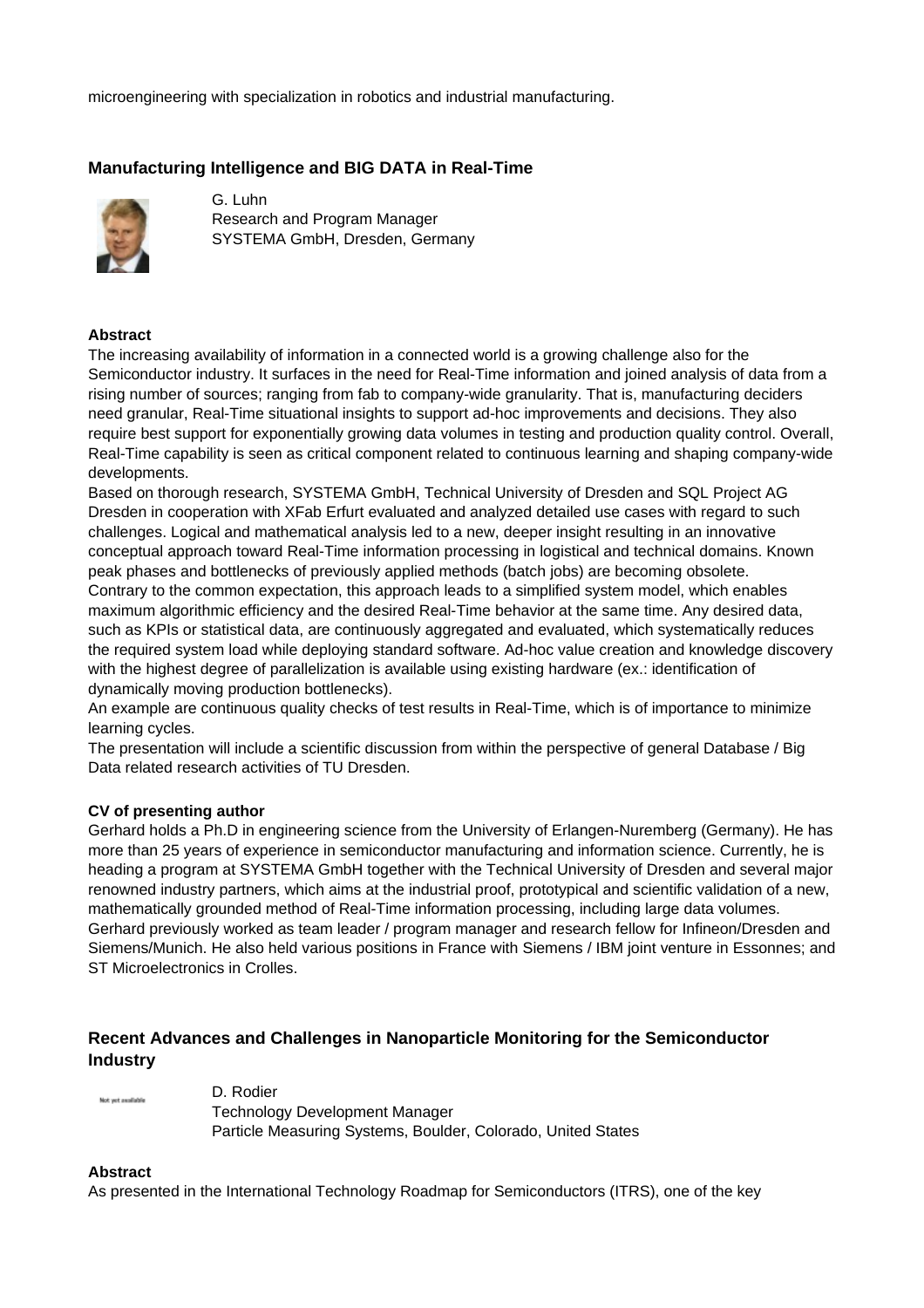microengineering with specialization in robotics and industrial manufacturing.

## **Manufacturing Intelligence and BIG DATA in Real-Time**



G. Luhn Research and Program Manager SYSTEMA GmbH, Dresden, Germany

## **Abstract**

The increasing availability of information in a connected world is a growing challenge also for the Semiconductor industry. It surfaces in the need for Real-Time information and joined analysis of data from a rising number of sources; ranging from fab to company-wide granularity. That is, manufacturing deciders need granular, Real-Time situational insights to support ad-hoc improvements and decisions. They also require best support for exponentially growing data volumes in testing and production quality control. Overall, Real-Time capability is seen as critical component related to continuous learning and shaping company-wide developments.

Based on thorough research, SYSTEMA GmbH, Technical University of Dresden and SQL Project AG Dresden in cooperation with XFab Erfurt evaluated and analyzed detailed use cases with regard to such challenges. Logical and mathematical analysis led to a new, deeper insight resulting in an innovative conceptual approach toward Real-Time information processing in logistical and technical domains. Known peak phases and bottlenecks of previously applied methods (batch jobs) are becoming obsolete. Contrary to the common expectation, this approach leads to a simplified system model, which enables maximum algorithmic efficiency and the desired Real-Time behavior at the same time. Any desired data, such as KPIs or statistical data, are continuously aggregated and evaluated, which systematically reduces the required system load while deploying standard software. Ad-hoc value creation and knowledge discovery with the highest degree of parallelization is available using existing hardware (ex.: identification of dynamically moving production bottlenecks).

An example are continuous quality checks of test results in Real-Time, which is of importance to minimize learning cycles.

The presentation will include a scientific discussion from within the perspective of general Database / Big Data related research activities of TU Dresden.

#### **CV of presenting author**

Gerhard holds a Ph.D in engineering science from the University of Erlangen-Nuremberg (Germany). He has more than 25 years of experience in semiconductor manufacturing and information science. Currently, he is heading a program at SYSTEMA GmbH together with the Technical University of Dresden and several major renowned industry partners, which aims at the industrial proof, prototypical and scientific validation of a new, mathematically grounded method of Real-Time information processing, including large data volumes. Gerhard previously worked as team leader / program manager and research fellow for Infineon/Dresden and Siemens/Munich. He also held various positions in France with Siemens / IBM joint venture in Essonnes; and ST Microelectronics in Crolles.

## **Recent Advances and Challenges in Nanoparticle Monitoring for the Semiconductor Industry**

Not yet available

D. Rodier

Technology Development Manager Particle Measuring Systems, Boulder, Colorado, United States

#### **Abstract**

As presented in the International Technology Roadmap for Semiconductors (ITRS), one of the key